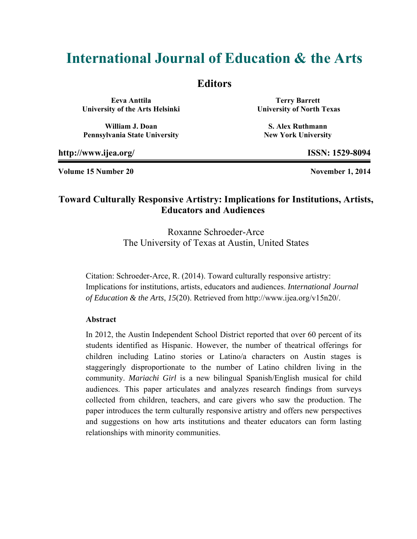# **International Journal of Education & the Arts**

## **Editors**

**Eeva Anttila University of the Arts Helsinki** 

**William J. Doan Pennsylvania State University** 

**Terry Barrett University of North Texas** 

**S. Alex Ruthmann New York University** 

**http://www.ijea.org/ ISSN: 1529-8094** 

**Volume 15 Number 20 November 1, 2014** 

# **Toward Culturally Responsive Artistry: Implications for Institutions, Artists, Educators and Audiences**

Roxanne Schroeder-Arce The University of Texas at Austin, United States

Citation: Schroeder-Arce, R. (2014). Toward culturally responsive artistry: Implications for institutions, artists, educators and audiences. *International Journal of Education & the Arts*, *15*(20). Retrieved from http://www.ijea.org/v15n20/.

#### **Abstract**

In 2012, the Austin Independent School District reported that over 60 percent of its students identified as Hispanic. However, the number of theatrical offerings for children including Latino stories or Latino/a characters on Austin stages is staggeringly disproportionate to the number of Latino children living in the community. *Mariachi Girl* is a new bilingual Spanish/English musical for child audiences. This paper articulates and analyzes research findings from surveys collected from children, teachers, and care givers who saw the production. The paper introduces the term culturally responsive artistry and offers new perspectives and suggestions on how arts institutions and theater educators can form lasting relationships with minority communities.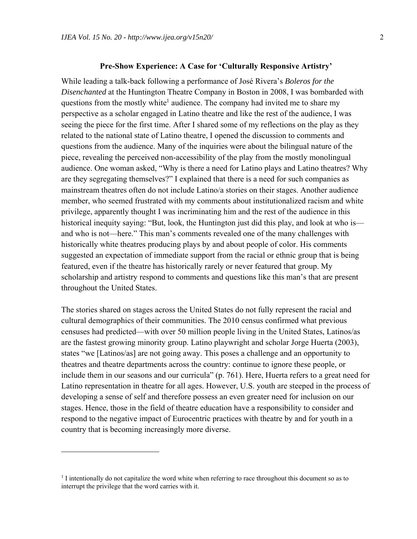#### **Pre-Show Experience: A Case for 'Culturally Responsive Artistry'**

While leading a talk-back following a performance of José Rivera's *Boleros for the Disenchanted* at the Huntington Theatre Company in Boston in 2008, I was bombarded with questions from the mostly white<sup>1</sup> audience. The company had invited me to share my perspective as a scholar engaged in Latino theatre and like the rest of the audience, I was seeing the piece for the first time. After I shared some of my reflections on the play as they related to the national state of Latino theatre, I opened the discussion to comments and questions from the audience. Many of the inquiries were about the bilingual nature of the piece, revealing the perceived non-accessibility of the play from the mostly monolingual audience. One woman asked, "Why is there a need for Latino plays and Latino theatres? Why are they segregating themselves?" I explained that there is a need for such companies as mainstream theatres often do not include Latino/a stories on their stages. Another audience member, who seemed frustrated with my comments about institutionalized racism and white privilege, apparently thought I was incriminating him and the rest of the audience in this historical inequity saying: "But, look, the Huntington just did this play, and look at who is and who is not—here." This man's comments revealed one of the many challenges with historically white theatres producing plays by and about people of color. His comments suggested an expectation of immediate support from the racial or ethnic group that is being featured, even if the theatre has historically rarely or never featured that group. My scholarship and artistry respond to comments and questions like this man's that are present throughout the United States.

The stories shared on stages across the United States do not fully represent the racial and cultural demographics of their communities. The 2010 census confirmed what previous censuses had predicted—with over 50 million people living in the United States, Latinos/as are the fastest growing minority group. Latino playwright and scholar Jorge Huerta (2003), states "we [Latinos/as] are not going away. This poses a challenge and an opportunity to theatres and theatre departments across the country: continue to ignore these people, or include them in our seasons and our curricula" (p. 761). Here, Huerta refers to a great need for Latino representation in theatre for all ages. However, U.S. youth are steeped in the process of developing a sense of self and therefore possess an even greater need for inclusion on our stages. Hence, those in the field of theatre education have a responsibility to consider and respond to the negative impact of Eurocentric practices with theatre by and for youth in a country that is becoming increasingly more diverse.

 $\overline{a}$ 

<sup>&</sup>lt;sup>1</sup> I intentionally do not capitalize the word white when referring to race throughout this document so as to interrupt the privilege that the word carries with it.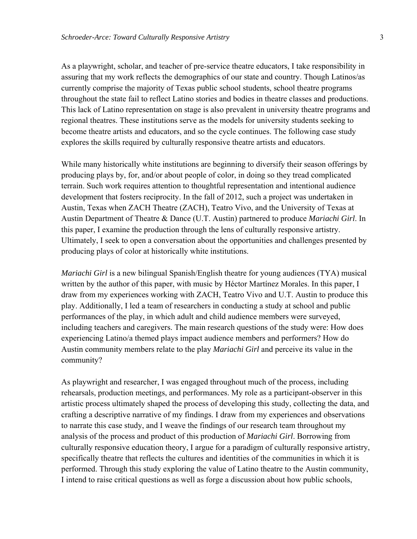As a playwright, scholar, and teacher of pre-service theatre educators, I take responsibility in assuring that my work reflects the demographics of our state and country. Though Latinos/as currently comprise the majority of Texas public school students, school theatre programs throughout the state fail to reflect Latino stories and bodies in theatre classes and productions. This lack of Latino representation on stage is also prevalent in university theatre programs and regional theatres. These institutions serve as the models for university students seeking to become theatre artists and educators, and so the cycle continues. The following case study explores the skills required by culturally responsive theatre artists and educators.

While many historically white institutions are beginning to diversify their season offerings by producing plays by, for, and/or about people of color, in doing so they tread complicated terrain. Such work requires attention to thoughtful representation and intentional audience development that fosters reciprocity. In the fall of 2012, such a project was undertaken in Austin, Texas when ZACH Theatre (ZACH), Teatro Vivo, and the University of Texas at Austin Department of Theatre & Dance (U.T. Austin) partnered to produce *Mariachi Girl*. In this paper, I examine the production through the lens of culturally responsive artistry. Ultimately, I seek to open a conversation about the opportunities and challenges presented by producing plays of color at historically white institutions.

*Mariachi Girl* is a new bilingual Spanish/English theatre for young audiences (TYA) musical written by the author of this paper, with music by Héctor Martínez Morales. In this paper, I draw from my experiences working with ZACH, Teatro Vivo and U.T. Austin to produce this play. Additionally, I led a team of researchers in conducting a study at school and public performances of the play, in which adult and child audience members were surveyed, including teachers and caregivers. The main research questions of the study were: How does experiencing Latino/a themed plays impact audience members and performers? How do Austin community members relate to the play *Mariachi Girl* and perceive its value in the community?

As playwright and researcher, I was engaged throughout much of the process, including rehearsals, production meetings, and performances. My role as a participant-observer in this artistic process ultimately shaped the process of developing this study, collecting the data, and crafting a descriptive narrative of my findings. I draw from my experiences and observations to narrate this case study, and I weave the findings of our research team throughout my analysis of the process and product of this production of *Mariachi Girl*. Borrowing from culturally responsive education theory, I argue for a paradigm of culturally responsive artistry, specifically theatre that reflects the cultures and identities of the communities in which it is performed. Through this study exploring the value of Latino theatre to the Austin community, I intend to raise critical questions as well as forge a discussion about how public schools,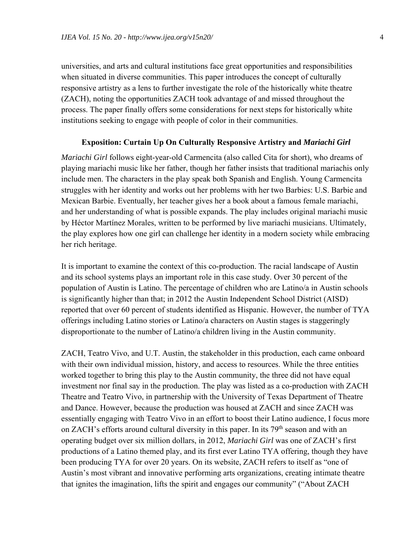universities, and arts and cultural institutions face great opportunities and responsibilities when situated in diverse communities. This paper introduces the concept of culturally responsive artistry as a lens to further investigate the role of the historically white theatre (ZACH), noting the opportunities ZACH took advantage of and missed throughout the process. The paper finally offers some considerations for next steps for historically white institutions seeking to engage with people of color in their communities.

### **Exposition: Curtain Up On Culturally Responsive Artistry and** *Mariachi Girl*

*Mariachi Girl* follows eight-year-old Carmencita (also called Cita for short), who dreams of playing mariachi music like her father, though her father insists that traditional mariachis only include men. The characters in the play speak both Spanish and English. Young Carmencita struggles with her identity and works out her problems with her two Barbies: U.S. Barbie and Mexican Barbie. Eventually, her teacher gives her a book about a famous female mariachi, and her understanding of what is possible expands. The play includes original mariachi music by Héctor Martínez Morales, written to be performed by live mariachi musicians. Ultimately, the play explores how one girl can challenge her identity in a modern society while embracing her rich heritage.

It is important to examine the context of this co-production. The racial landscape of Austin and its school systems plays an important role in this case study. Over 30 percent of the population of Austin is Latino. The percentage of children who are Latino/a in Austin schools is significantly higher than that; in 2012 the Austin Independent School District (AISD) reported that over 60 percent of students identified as Hispanic. However, the number of TYA offerings including Latino stories or Latino/a characters on Austin stages is staggeringly disproportionate to the number of Latino/a children living in the Austin community.

ZACH, Teatro Vivo, and U.T. Austin, the stakeholder in this production, each came onboard with their own individual mission, history, and access to resources. While the three entities worked together to bring this play to the Austin community, the three did not have equal investment nor final say in the production. The play was listed as a co-production with ZACH Theatre and Teatro Vivo, in partnership with the University of Texas Department of Theatre and Dance. However, because the production was housed at ZACH and since ZACH was essentially engaging with Teatro Vivo in an effort to boost their Latino audience, I focus more on ZACH's efforts around cultural diversity in this paper. In its 79<sup>th</sup> season and with an operating budget over six million dollars, in 2012, *Mariachi Girl* was one of ZACH's first productions of a Latino themed play, and its first ever Latino TYA offering, though they have been producing TYA for over 20 years. On its website, ZACH refers to itself as "one of Austin's most vibrant and innovative performing arts organizations, creating intimate theatre that ignites the imagination, lifts the spirit and engages our community" ("About ZACH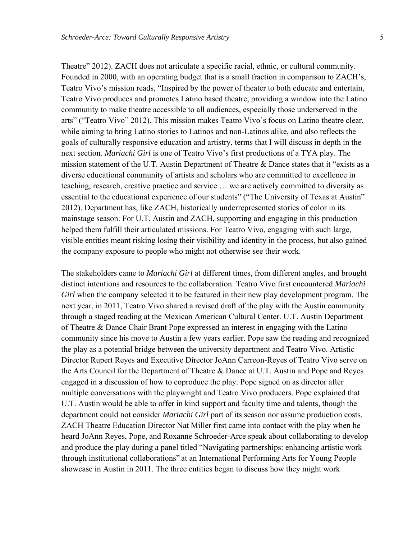Theatre" 2012). ZACH does not articulate a specific racial, ethnic, or cultural community. Founded in 2000, with an operating budget that is a small fraction in comparison to ZACH's, Teatro Vivo's mission reads, "Inspired by the power of theater to both educate and entertain, Teatro Vivo produces and promotes Latino based theatre, providing a window into the Latino community to make theatre accessible to all audiences, especially those underserved in the arts" ("Teatro Vivo" 2012). This mission makes Teatro Vivo's focus on Latino theatre clear, while aiming to bring Latino stories to Latinos and non-Latinos alike, and also reflects the goals of culturally responsive education and artistry, terms that I will discuss in depth in the next section. *Mariachi Girl* is one of Teatro Vivo's first productions of a TYA play. The mission statement of the U.T. Austin Department of Theatre & Dance states that it "exists as a diverse educational community of artists and scholars who are committed to excellence in teaching, research, creative practice and service … we are actively committed to diversity as essential to the educational experience of our students" ("The University of Texas at Austin" 2012). Department has, like ZACH, historically underrepresented stories of color in its mainstage season. For U.T. Austin and ZACH, supporting and engaging in this production helped them fulfill their articulated missions. For Teatro Vivo, engaging with such large, visible entities meant risking losing their visibility and identity in the process, but also gained the company exposure to people who might not otherwise see their work.

The stakeholders came to *Mariachi Girl* at different times, from different angles, and brought distinct intentions and resources to the collaboration. Teatro Vivo first encountered *Mariachi Girl* when the company selected it to be featured in their new play development program. The next year, in 2011, Teatro Vivo shared a revised draft of the play with the Austin community through a staged reading at the Mexican American Cultural Center. U.T. Austin Department of Theatre & Dance Chair Brant Pope expressed an interest in engaging with the Latino community since his move to Austin a few years earlier. Pope saw the reading and recognized the play as a potential bridge between the university department and Teatro Vivo. Artistic Director Rupert Reyes and Executive Director JoAnn Carreon-Reyes of Teatro Vivo serve on the Arts Council for the Department of Theatre & Dance at U.T. Austin and Pope and Reyes engaged in a discussion of how to coproduce the play. Pope signed on as director after multiple conversations with the playwright and Teatro Vivo producers. Pope explained that U.T. Austin would be able to offer in kind support and faculty time and talents, though the department could not consider *Mariachi Girl* part of its season nor assume production costs. ZACH Theatre Education Director Nat Miller first came into contact with the play when he heard JoAnn Reyes, Pope, and Roxanne Schroeder-Arce speak about collaborating to develop and produce the play during a panel titled "Navigating partnerships: enhancing artistic work through institutional collaborations" at an International Performing Arts for Young People showcase in Austin in 2011. The three entities began to discuss how they might work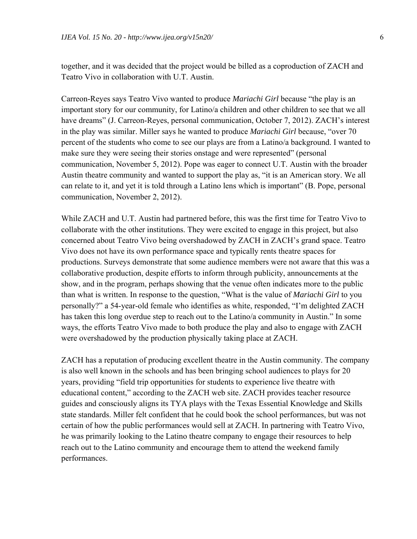together, and it was decided that the project would be billed as a coproduction of ZACH and Teatro Vivo in collaboration with U.T. Austin.

Carreon-Reyes says Teatro Vivo wanted to produce *Mariachi Girl* because "the play is an important story for our community, for Latino/a children and other children to see that we all have dreams" (J. Carreon-Reyes, personal communication, October 7, 2012). ZACH's interest in the play was similar. Miller says he wanted to produce *Mariachi Girl* because, "over 70 percent of the students who come to see our plays are from a Latino/a background. I wanted to make sure they were seeing their stories onstage and were represented" (personal communication, November 5, 2012). Pope was eager to connect U.T. Austin with the broader Austin theatre community and wanted to support the play as, "it is an American story. We all can relate to it, and yet it is told through a Latino lens which is important" (B. Pope, personal communication, November 2, 2012).

While ZACH and U.T. Austin had partnered before, this was the first time for Teatro Vivo to collaborate with the other institutions. They were excited to engage in this project, but also concerned about Teatro Vivo being overshadowed by ZACH in ZACH's grand space. Teatro Vivo does not have its own performance space and typically rents theatre spaces for productions. Surveys demonstrate that some audience members were not aware that this was a collaborative production, despite efforts to inform through publicity, announcements at the show, and in the program, perhaps showing that the venue often indicates more to the public than what is written. In response to the question, "What is the value of *Mariachi Girl* to you personally?" a 54-year-old female who identifies as white, responded, "I'm delighted ZACH has taken this long overdue step to reach out to the Latino/a community in Austin." In some ways, the efforts Teatro Vivo made to both produce the play and also to engage with ZACH were overshadowed by the production physically taking place at ZACH.

ZACH has a reputation of producing excellent theatre in the Austin community. The company is also well known in the schools and has been bringing school audiences to plays for 20 years, providing "field trip opportunities for students to experience live theatre with educational content," according to the ZACH web site. ZACH provides teacher resource guides and consciously aligns its TYA plays with the Texas Essential Knowledge and Skills state standards. Miller felt confident that he could book the school performances, but was not certain of how the public performances would sell at ZACH. In partnering with Teatro Vivo, he was primarily looking to the Latino theatre company to engage their resources to help reach out to the Latino community and encourage them to attend the weekend family performances.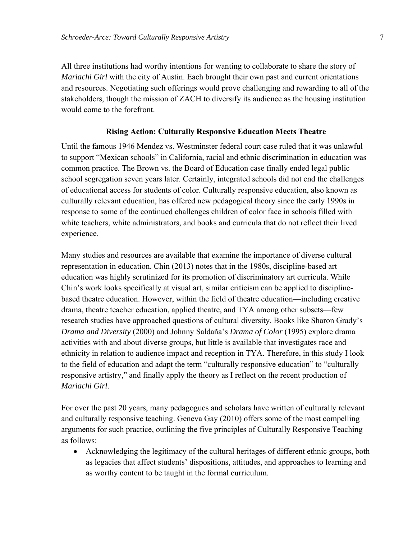All three institutions had worthy intentions for wanting to collaborate to share the story of *Mariachi Girl* with the city of Austin. Each brought their own past and current orientations and resources. Negotiating such offerings would prove challenging and rewarding to all of the stakeholders, though the mission of ZACH to diversify its audience as the housing institution would come to the forefront.

#### **Rising Action: Culturally Responsive Education Meets Theatre**

Until the famous 1946 Mendez vs. Westminster federal court case ruled that it was unlawful to support "Mexican schools" in California, racial and ethnic discrimination in education was common practice. The Brown vs. the Board of Education case finally ended legal public school segregation seven years later. Certainly, integrated schools did not end the challenges of educational access for students of color. Culturally responsive education, also known as culturally relevant education, has offered new pedagogical theory since the early 1990s in response to some of the continued challenges children of color face in schools filled with white teachers, white administrators, and books and curricula that do not reflect their lived experience.

Many studies and resources are available that examine the importance of diverse cultural representation in education. Chin (2013) notes that in the 1980s, discipline-based art education was highly scrutinized for its promotion of discriminatory art curricula. While Chin's work looks specifically at visual art, similar criticism can be applied to disciplinebased theatre education. However, within the field of theatre education—including creative drama, theatre teacher education, applied theatre, and TYA among other subsets—few research studies have approached questions of cultural diversity. Books like Sharon Grady's *Drama and Diversity* (2000) and Johnny Saldaña's *Drama of Color* (1995) explore drama activities with and about diverse groups, but little is available that investigates race and ethnicity in relation to audience impact and reception in TYA. Therefore, in this study I look to the field of education and adapt the term "culturally responsive education" to "culturally responsive artistry," and finally apply the theory as I reflect on the recent production of *Mariachi Girl*.

For over the past 20 years, many pedagogues and scholars have written of culturally relevant and culturally responsive teaching. Geneva Gay (2010) offers some of the most compelling arguments for such practice, outlining the five principles of Culturally Responsive Teaching as follows:

 Acknowledging the legitimacy of the cultural heritages of different ethnic groups, both as legacies that affect students' dispositions, attitudes, and approaches to learning and as worthy content to be taught in the formal curriculum.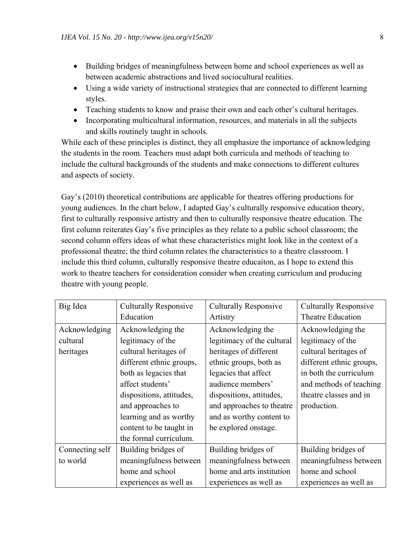- Building bridges of meaningfulness between home and school experiences as well as between academic abstractions and lived sociocultural realities.
- Using a wide variety of instructional strategies that are connected to different learning styles.
- Teaching students to know and praise their own and each other's cultural heritages.
- Incorporating multicultural information, resources, and materials in all the subjects and skills routinely taught in schools.

While each of these principles is distinct, they all emphasize the importance of acknowledging the students in the room. Teachers must adapt both curricula and methods of teaching to include the cultural backgrounds of the students and make connections to different cultures and aspects of society.

Gay's (2010) theoretical contributions are applicable for theatres offering productions for young audiences. In the chart below, I adapted Gay's culturally responsive education theory, first to culturally responsive artistry and then to culturally responsive theatre education. The first column reiterates Gay's five principles as they relate to a public school classroom; the second column offers ideas of what these characteristics might look like in the context of a professional theatre; the third column relates the characteristics to a theatre classroom. I include this third column, culturally responsive theatre educaiton, as I hope to extend this work to theatre teachers for consideration consider when creating curriculum and producing theatre with young people.

| Big Idea        | <b>Culturally Responsive</b> | <b>Culturally Responsive</b> | <b>Culturally Responsive</b> |
|-----------------|------------------------------|------------------------------|------------------------------|
|                 | Education                    | Artistry                     | Theatre Education            |
| Acknowledging   | Acknowledging the            | Acknowledging the            | Acknowledging the            |
| cultural        | legitimacy of the            | legitimacy of the cultural   | legitimacy of the            |
| heritages       | cultural heritages of        | heritages of different       | cultural heritages of        |
|                 | different ethnic groups,     | ethnic groups, both as       | different ethnic groups,     |
|                 | both as legacies that        | legacies that affect         | in both the curriculum       |
|                 | affect students'             | audience members'            | and methods of teaching      |
|                 | dispositions, attitudes,     | dispositions, attitudes,     | theatre classes and in       |
|                 | and approaches to            | and approaches to theatre    | production.                  |
|                 | learning and as worthy       | and as worthy content to     |                              |
|                 | content to be taught in      | be explored onstage.         |                              |
|                 | the formal curriculum.       |                              |                              |
| Connecting self | Building bridges of          | Building bridges of          | Building bridges of          |
| to world        | meaningfulness between       | meaningfulness between       | meaningfulness between       |
|                 | home and school              | home and arts institution    | home and school              |
|                 | experiences as well as       | experiences as well as       | experiences as well as       |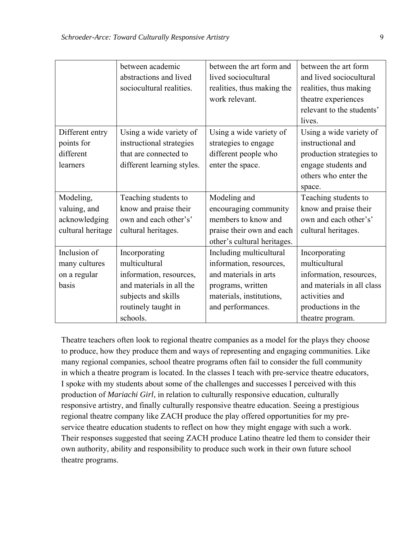|                   | between academic           | between the art form and    | between the art form       |
|-------------------|----------------------------|-----------------------------|----------------------------|
|                   | abstractions and lived     | lived sociocultural         | and lived sociocultural    |
|                   | sociocultural realities.   | realities, thus making the  | realities, thus making     |
|                   |                            | work relevant.              | theatre experiences        |
|                   |                            |                             | relevant to the students'  |
|                   |                            |                             | lives.                     |
| Different entry   | Using a wide variety of    | Using a wide variety of     | Using a wide variety of    |
| points for        | instructional strategies   | strategies to engage        | instructional and          |
| different         | that are connected to      | different people who        | production strategies to   |
| learners          | different learning styles. | enter the space.            | engage students and        |
|                   |                            |                             | others who enter the       |
|                   |                            |                             | space.                     |
| Modeling,         | Teaching students to       | Modeling and                | Teaching students to       |
| valuing, and      | know and praise their      | encouraging community       | know and praise their      |
| acknowledging     | own and each other's'      | members to know and         | own and each other's'      |
|                   |                            |                             |                            |
| cultural heritage | cultural heritages.        | praise their own and each   | cultural heritages.        |
|                   |                            | other's cultural heritages. |                            |
| Inclusion of      | Incorporating              | Including multicultural     | Incorporating              |
| many cultures     | multicultural              | information, resources,     | multicultural              |
| on a regular      | information, resources,    | and materials in arts       | information, resources,    |
| basis             | and materials in all the   | programs, written           | and materials in all class |
|                   | subjects and skills        | materials, institutions,    | activities and             |
|                   | routinely taught in        | and performances.           | productions in the         |

Theatre teachers often look to regional theatre companies as a model for the plays they choose to produce, how they produce them and ways of representing and engaging communities. Like many regional companies, school theatre programs often fail to consider the full community in which a theatre program is located. In the classes I teach with pre-service theatre educators, I spoke with my students about some of the challenges and successes I perceived with this production of *Mariachi Girl*, in relation to culturally responsive education, culturally responsive artistry, and finally culturally responsive theatre education. Seeing a prestigious regional theatre company like ZACH produce the play offered opportunities for my preservice theatre education students to reflect on how they might engage with such a work. Their responses suggested that seeing ZACH produce Latino theatre led them to consider their own authority, ability and responsibility to produce such work in their own future school theatre programs.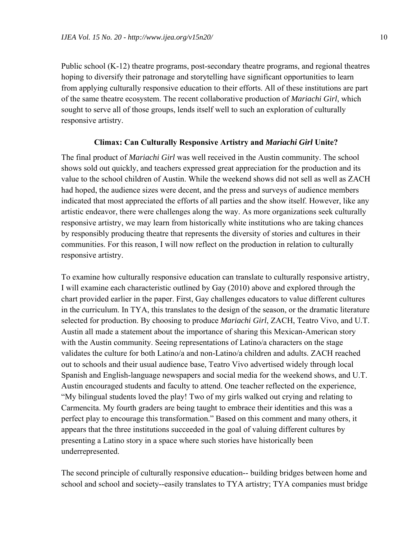Public school (K-12) theatre programs, post-secondary theatre programs, and regional theatres hoping to diversify their patronage and storytelling have significant opportunities to learn from applying culturally responsive education to their efforts. All of these institutions are part of the same theatre ecosystem. The recent collaborative production of *Mariachi Girl*, which sought to serve all of those groups, lends itself well to such an exploration of culturally responsive artistry.

#### **Climax: Can Culturally Responsive Artistry and** *Mariachi Girl* **Unite?**

The final product of *Mariachi Girl* was well received in the Austin community. The school shows sold out quickly, and teachers expressed great appreciation for the production and its value to the school children of Austin. While the weekend shows did not sell as well as ZACH had hoped, the audience sizes were decent, and the press and surveys of audience members indicated that most appreciated the efforts of all parties and the show itself. However, like any artistic endeavor, there were challenges along the way. As more organizations seek culturally responsive artistry, we may learn from historically white institutions who are taking chances by responsibly producing theatre that represents the diversity of stories and cultures in their communities. For this reason, I will now reflect on the production in relation to culturally responsive artistry.

To examine how culturally responsive education can translate to culturally responsive artistry, I will examine each characteristic outlined by Gay (2010) above and explored through the chart provided earlier in the paper. First, Gay challenges educators to value different cultures in the curriculum. In TYA, this translates to the design of the season, or the dramatic literature selected for production. By choosing to produce *Mariachi Girl*, ZACH, Teatro Vivo, and U.T. Austin all made a statement about the importance of sharing this Mexican-American story with the Austin community. Seeing representations of Latino/a characters on the stage validates the culture for both Latino/a and non-Latino/a children and adults. ZACH reached out to schools and their usual audience base, Teatro Vivo advertised widely through local Spanish and English-language newspapers and social media for the weekend shows, and U.T. Austin encouraged students and faculty to attend. One teacher reflected on the experience, "My bilingual students loved the play! Two of my girls walked out crying and relating to Carmencita. My fourth graders are being taught to embrace their identities and this was a perfect play to encourage this transformation." Based on this comment and many others, it appears that the three institutions succeeded in the goal of valuing different cultures by presenting a Latino story in a space where such stories have historically been underrepresented.

The second principle of culturally responsive education-- building bridges between home and school and school and society--easily translates to TYA artistry; TYA companies must bridge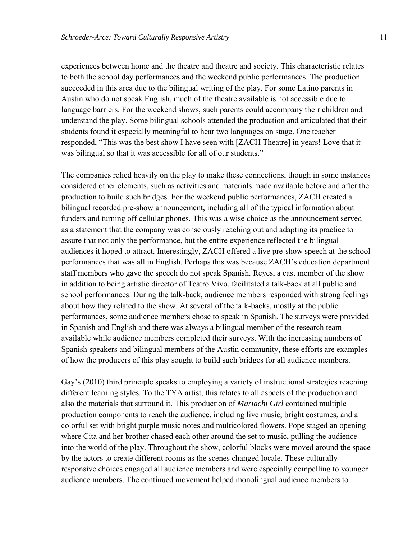experiences between home and the theatre and theatre and society. This characteristic relates to both the school day performances and the weekend public performances. The production succeeded in this area due to the bilingual writing of the play. For some Latino parents in Austin who do not speak English, much of the theatre available is not accessible due to language barriers. For the weekend shows, such parents could accompany their children and understand the play. Some bilingual schools attended the production and articulated that their students found it especially meaningful to hear two languages on stage. One teacher responded, "This was the best show I have seen with [ZACH Theatre] in years! Love that it was bilingual so that it was accessible for all of our students."

The companies relied heavily on the play to make these connections, though in some instances considered other elements, such as activities and materials made available before and after the production to build such bridges. For the weekend public performances, ZACH created a bilingual recorded pre-show announcement, including all of the typical information about funders and turning off cellular phones. This was a wise choice as the announcement served as a statement that the company was consciously reaching out and adapting its practice to assure that not only the performance, but the entire experience reflected the bilingual audiences it hoped to attract. Interestingly, ZACH offered a live pre-show speech at the school performances that was all in English. Perhaps this was because ZACH's education department staff members who gave the speech do not speak Spanish. Reyes, a cast member of the show in addition to being artistic director of Teatro Vivo, facilitated a talk-back at all public and school performances. During the talk-back, audience members responded with strong feelings about how they related to the show. At several of the talk-backs, mostly at the public performances, some audience members chose to speak in Spanish. The surveys were provided in Spanish and English and there was always a bilingual member of the research team available while audience members completed their surveys. With the increasing numbers of Spanish speakers and bilingual members of the Austin community, these efforts are examples of how the producers of this play sought to build such bridges for all audience members.

Gay's (2010) third principle speaks to employing a variety of instructional strategies reaching different learning styles. To the TYA artist, this relates to all aspects of the production and also the materials that surround it. This production of *Mariachi Girl* contained multiple production components to reach the audience, including live music, bright costumes, and a colorful set with bright purple music notes and multicolored flowers. Pope staged an opening where Cita and her brother chased each other around the set to music, pulling the audience into the world of the play. Throughout the show, colorful blocks were moved around the space by the actors to create different rooms as the scenes changed locale. These culturally responsive choices engaged all audience members and were especially compelling to younger audience members. The continued movement helped monolingual audience members to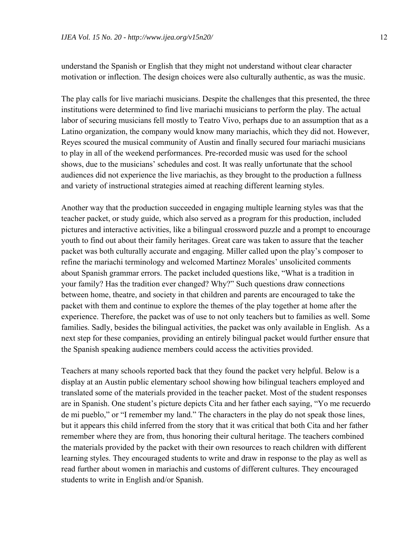understand the Spanish or English that they might not understand without clear character motivation or inflection. The design choices were also culturally authentic, as was the music.

The play calls for live mariachi musicians. Despite the challenges that this presented, the three institutions were determined to find live mariachi musicians to perform the play. The actual labor of securing musicians fell mostly to Teatro Vivo, perhaps due to an assumption that as a Latino organization, the company would know many mariachis, which they did not. However, Reyes scoured the musical community of Austin and finally secured four mariachi musicians to play in all of the weekend performances. Pre-recorded music was used for the school shows, due to the musicians' schedules and cost. It was really unfortunate that the school audiences did not experience the live mariachis, as they brought to the production a fullness and variety of instructional strategies aimed at reaching different learning styles.

Another way that the production succeeded in engaging multiple learning styles was that the teacher packet, or study guide, which also served as a program for this production, included pictures and interactive activities, like a bilingual crossword puzzle and a prompt to encourage youth to find out about their family heritages. Great care was taken to assure that the teacher packet was both culturally accurate and engaging. Miller called upon the play's composer to refine the mariachi terminology and welcomed Martinez Morales' unsolicited comments about Spanish grammar errors. The packet included questions like, "What is a tradition in your family? Has the tradition ever changed? Why?" Such questions draw connections between home, theatre, and society in that children and parents are encouraged to take the packet with them and continue to explore the themes of the play together at home after the experience. Therefore, the packet was of use to not only teachers but to families as well. Some families. Sadly, besides the bilingual activities, the packet was only available in English. As a next step for these companies, providing an entirely bilingual packet would further ensure that the Spanish speaking audience members could access the activities provided.

Teachers at many schools reported back that they found the packet very helpful. Below is a display at an Austin public elementary school showing how bilingual teachers employed and translated some of the materials provided in the teacher packet. Most of the student responses are in Spanish. One student's picture depicts Cita and her father each saying, "Yo me recuerdo de mi pueblo," or "I remember my land." The characters in the play do not speak those lines, but it appears this child inferred from the story that it was critical that both Cita and her father remember where they are from, thus honoring their cultural heritage. The teachers combined the materials provided by the packet with their own resources to reach children with different learning styles. They encouraged students to write and draw in response to the play as well as read further about women in mariachis and customs of different cultures. They encouraged students to write in English and/or Spanish.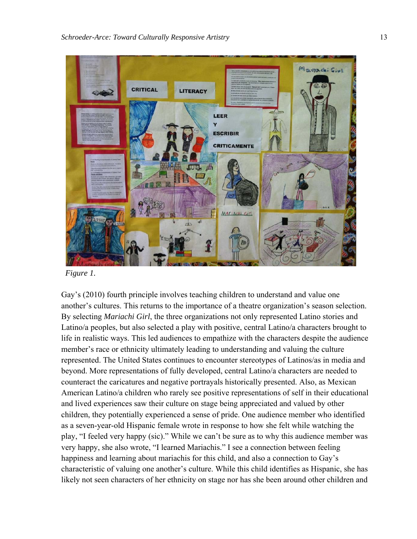

 *Figure 1.* 

Gay's (2010) fourth principle involves teaching children to understand and value one another's cultures. This returns to the importance of a theatre organization's season selection. By selecting *Mariachi Girl*, the three organizations not only represented Latino stories and Latino/a peoples, but also selected a play with positive, central Latino/a characters brought to life in realistic ways. This led audiences to empathize with the characters despite the audience member's race or ethnicity ultimately leading to understanding and valuing the culture represented. The United States continues to encounter stereotypes of Latinos/as in media and beyond. More representations of fully developed, central Latino/a characters are needed to counteract the caricatures and negative portrayals historically presented. Also, as Mexican American Latino/a children who rarely see positive representations of self in their educational and lived experiences saw their culture on stage being appreciated and valued by other children, they potentially experienced a sense of pride. One audience member who identified as a seven-year-old Hispanic female wrote in response to how she felt while watching the play, "I feeled very happy (sic)." While we can't be sure as to why this audience member was very happy, she also wrote, "I learned Mariachis." I see a connection between feeling happiness and learning about mariachis for this child, and also a connection to Gay's characteristic of valuing one another's culture. While this child identifies as Hispanic, she has likely not seen characters of her ethnicity on stage nor has she been around other children and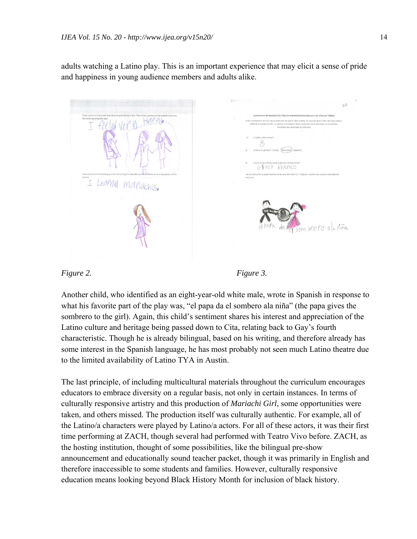adults watching a Latino play. This is an important experience that may elicit a sense of pride and happiness in young audience members and adults alike.

HAPPU estor blanco Learnel mariachis. breto ala niña



Another child, who identified as an eight-year-old white male, wrote in Spanish in response to what his favorite part of the play was, "el papa da el sombero ala niña" (the papa gives the sombrero to the girl). Again, this child's sentiment shares his interest and appreciation of the Latino culture and heritage being passed down to Cita, relating back to Gay's fourth characteristic. Though he is already bilingual, based on his writing, and therefore already has some interest in the Spanish language, he has most probably not seen much Latino theatre due to the limited availability of Latino TYA in Austin.

The last principle, of including multicultural materials throughout the curriculum encourages educators to embrace diversity on a regular basis, not only in certain instances. In terms of culturally responsive artistry and this production of *Mariachi Girl*, some opportunities were taken, and others missed. The production itself was culturally authentic. For example, all of the Latino/a characters were played by Latino/a actors. For all of these actors, it was their first time performing at ZACH, though several had performed with Teatro Vivo before. ZACH, as the hosting institution, thought of some possibilities, like the bilingual pre-show announcement and educationally sound teacher packet, though it was primarily in English and therefore inaccessible to some students and families. However, culturally responsive education means looking beyond Black History Month for inclusion of black history.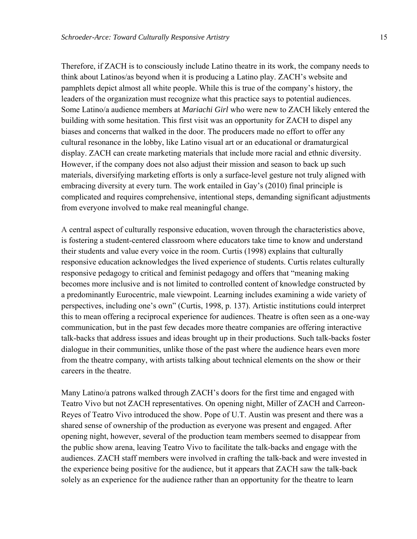Therefore, if ZACH is to consciously include Latino theatre in its work, the company needs to think about Latinos/as beyond when it is producing a Latino play. ZACH's website and pamphlets depict almost all white people. While this is true of the company's history, the leaders of the organization must recognize what this practice says to potential audiences. Some Latino/a audience members at *Mariachi Girl* who were new to ZACH likely entered the building with some hesitation. This first visit was an opportunity for ZACH to dispel any biases and concerns that walked in the door. The producers made no effort to offer any cultural resonance in the lobby, like Latino visual art or an educational or dramaturgical display. ZACH can create marketing materials that include more racial and ethnic diversity. However, if the company does not also adjust their mission and season to back up such materials, diversifying marketing efforts is only a surface-level gesture not truly aligned with embracing diversity at every turn. The work entailed in Gay's (2010) final principle is complicated and requires comprehensive, intentional steps, demanding significant adjustments from everyone involved to make real meaningful change.

A central aspect of culturally responsive education, woven through the characteristics above, is fostering a student-centered classroom where educators take time to know and understand their students and value every voice in the room. Curtis (1998) explains that culturally responsive education acknowledges the lived experience of students. Curtis relates culturally responsive pedagogy to critical and feminist pedagogy and offers that "meaning making becomes more inclusive and is not limited to controlled content of knowledge constructed by a predominantly Eurocentric, male viewpoint. Learning includes examining a wide variety of perspectives, including one's own" (Curtis, 1998, p. 137). Artistic institutions could interpret this to mean offering a reciprocal experience for audiences. Theatre is often seen as a one-way communication, but in the past few decades more theatre companies are offering interactive talk-backs that address issues and ideas brought up in their productions. Such talk-backs foster dialogue in their communities, unlike those of the past where the audience hears even more from the theatre company, with artists talking about technical elements on the show or their careers in the theatre.

Many Latino/a patrons walked through ZACH's doors for the first time and engaged with Teatro Vivo but not ZACH representatives. On opening night, Miller of ZACH and Carreon-Reyes of Teatro Vivo introduced the show. Pope of U.T. Austin was present and there was a shared sense of ownership of the production as everyone was present and engaged. After opening night, however, several of the production team members seemed to disappear from the public show arena, leaving Teatro Vivo to facilitate the talk-backs and engage with the audiences. ZACH staff members were involved in crafting the talk-back and were invested in the experience being positive for the audience, but it appears that ZACH saw the talk-back solely as an experience for the audience rather than an opportunity for the theatre to learn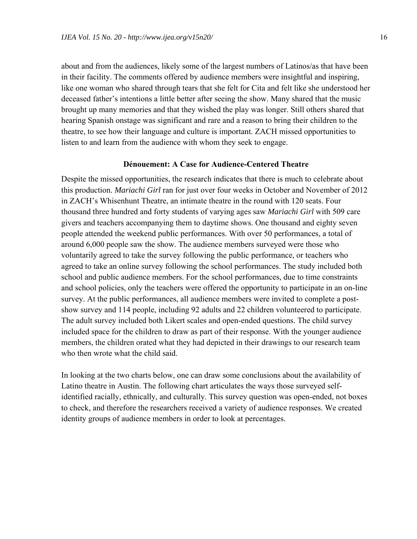about and from the audiences, likely some of the largest numbers of Latinos/as that have been in their facility. The comments offered by audience members were insightful and inspiring, like one woman who shared through tears that she felt for Cita and felt like she understood her deceased father's intentions a little better after seeing the show. Many shared that the music brought up many memories and that they wished the play was longer. Still others shared that hearing Spanish onstage was significant and rare and a reason to bring their children to the theatre, to see how their language and culture is important. ZACH missed opportunities to listen to and learn from the audience with whom they seek to engage.

#### **Dénouement: A Case for Audience-Centered Theatre**

Despite the missed opportunities, the research indicates that there is much to celebrate about this production. *Mariachi Girl* ran for just over four weeks in October and November of 2012 in ZACH's Whisenhunt Theatre, an intimate theatre in the round with 120 seats. Four thousand three hundred and forty students of varying ages saw *Mariachi Girl* with 509 care givers and teachers accompanying them to daytime shows. One thousand and eighty seven people attended the weekend public performances. With over 50 performances, a total of around 6,000 people saw the show. The audience members surveyed were those who voluntarily agreed to take the survey following the public performance, or teachers who agreed to take an online survey following the school performances. The study included both school and public audience members. For the school performances, due to time constraints and school policies, only the teachers were offered the opportunity to participate in an on-line survey. At the public performances, all audience members were invited to complete a postshow survey and 114 people, including 92 adults and 22 children volunteered to participate. The adult survey included both Likert scales and open-ended questions. The child survey included space for the children to draw as part of their response. With the younger audience members, the children orated what they had depicted in their drawings to our research team who then wrote what the child said.

In looking at the two charts below, one can draw some conclusions about the availability of Latino theatre in Austin. The following chart articulates the ways those surveyed selfidentified racially, ethnically, and culturally. This survey question was open-ended, not boxes to check, and therefore the researchers received a variety of audience responses. We created identity groups of audience members in order to look at percentages.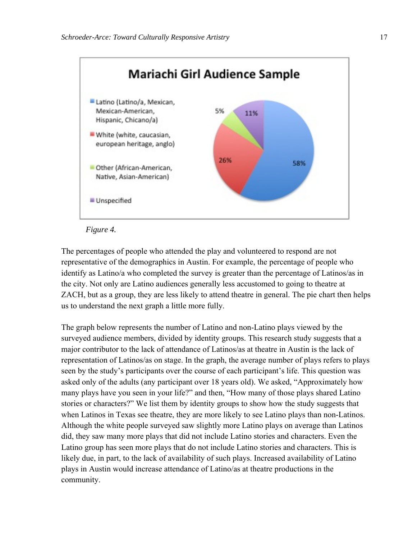



The percentages of people who attended the play and volunteered to respond are not representative of the demographics in Austin. For example, the percentage of people who identify as Latino/a who completed the survey is greater than the percentage of Latinos/as in the city. Not only are Latino audiences generally less accustomed to going to theatre at ZACH, but as a group, they are less likely to attend theatre in general. The pie chart then helps us to understand the next graph a little more fully.

The graph below represents the number of Latino and non-Latino plays viewed by the surveyed audience members, divided by identity groups. This research study suggests that a major contributor to the lack of attendance of Latinos/as at theatre in Austin is the lack of representation of Latinos/as on stage. In the graph, the average number of plays refers to plays seen by the study's participants over the course of each participant's life. This question was asked only of the adults (any participant over 18 years old). We asked, "Approximately how many plays have you seen in your life?" and then, "How many of those plays shared Latino stories or characters?" We list them by identity groups to show how the study suggests that when Latinos in Texas see theatre, they are more likely to see Latino plays than non-Latinos. Although the white people surveyed saw slightly more Latino plays on average than Latinos did, they saw many more plays that did not include Latino stories and characters. Even the Latino group has seen more plays that do not include Latino stories and characters. This is likely due, in part, to the lack of availability of such plays. Increased availability of Latino plays in Austin would increase attendance of Latino/as at theatre productions in the community.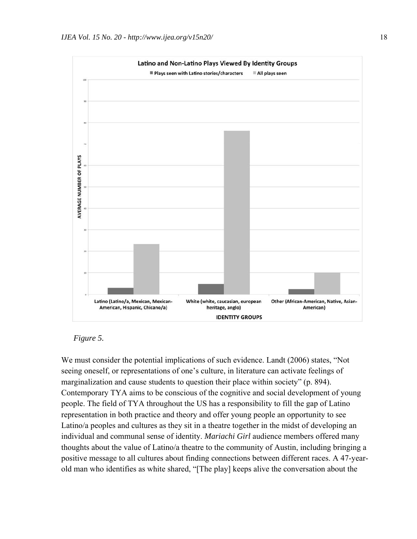

*Figure 5.* 

We must consider the potential implications of such evidence. Landt (2006) states, "Not seeing oneself, or representations of one's culture, in literature can activate feelings of marginalization and cause students to question their place within society" (p. 894). Contemporary TYA aims to be conscious of the cognitive and social development of young people. The field of TYA throughout the US has a responsibility to fill the gap of Latino representation in both practice and theory and offer young people an opportunity to see Latino/a peoples and cultures as they sit in a theatre together in the midst of developing an individual and communal sense of identity. *Mariachi Girl* audience members offered many thoughts about the value of Latino/a theatre to the community of Austin, including bringing a positive message to all cultures about finding connections between different races. A 47-yearold man who identifies as white shared, "[The play] keeps alive the conversation about the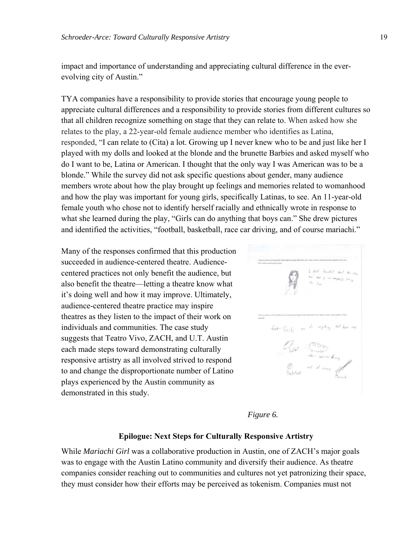impact and importance of understanding and appreciating cultural difference in the everevolving city of Austin."

TYA companies have a responsibility to provide stories that encourage young people to appreciate cultural differences and a responsibility to provide stories from different cultures so that all children recognize something on stage that they can relate to. When asked how she relates to the play, a 22-year-old female audience member who identifies as Latina, responded, "I can relate to (Cita) a lot. Growing up I never knew who to be and just like her I played with my dolls and looked at the blonde and the brunette Barbies and asked myself who do I want to be, Latina or American. I thought that the only way I was American was to be a blonde." While the survey did not ask specific questions about gender, many audience members wrote about how the play brought up feelings and memories related to womanhood and how the play was important for young girls, specifically Latinas, to see. An 11-year-old female youth who chose not to identify herself racially and ethnically wrote in response to what she learned during the play, "Girls can do anything that boys can." She drew pictures and identified the activities, "football, basketball, race car driving, and of course mariachi."

Many of the responses confirmed that this production succeeded in audience-centered theatre. Audiencecentered practices not only benefit the audience, but also benefit the theatre—letting a theatre know what it's doing well and how it may improve. Ultimately, audience-centered theatre practice may inspire theatres as they listen to the impact of their work on individuals and communities. The case study suggests that Teatro Vivo, ZACH, and U.T. Austin each made steps toward demonstrating culturally responsive artistry as all involved strived to respond to and change the disproportionate number of Latino plays experienced by the Austin community as demonstrated in this study.

1 felt teached about ord that I as seems fit Girls as to engine that been no  $\begin{array}{rcl}\n\mathcal{P}_{\text{full}} & \begin{array}{rcl}\n\mathcal{P}_{\text{full}} & \mathcal{P}_{\text{full}} \\
\mathcal{P}_{\text{full}} & \mathcal{P}_{\text{full}} \\
\mathcal{P}_{\text{full}} & \mathcal{P}_{\text{full}} \\
\mathcal{P}_{\text{full}} & \mathcal{P}_{\text{full}}\n\end{array}\n\end{array}$ 

*Figure 6.* 

#### **Epilogue: Next Steps for Culturally Responsive Artistry**

While *Mariachi Girl* was a collaborative production in Austin, one of ZACH's major goals was to engage with the Austin Latino community and diversify their audience. As theatre companies consider reaching out to communities and cultures not yet patronizing their space, they must consider how their efforts may be perceived as tokenism. Companies must not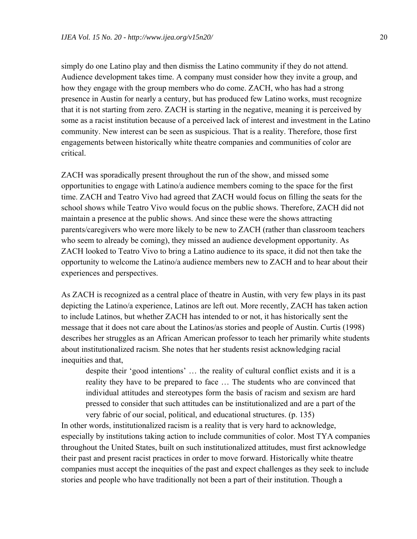simply do one Latino play and then dismiss the Latino community if they do not attend. Audience development takes time. A company must consider how they invite a group, and how they engage with the group members who do come. ZACH, who has had a strong presence in Austin for nearly a century, but has produced few Latino works, must recognize that it is not starting from zero. ZACH is starting in the negative, meaning it is perceived by some as a racist institution because of a perceived lack of interest and investment in the Latino community. New interest can be seen as suspicious. That is a reality. Therefore, those first engagements between historically white theatre companies and communities of color are critical.

ZACH was sporadically present throughout the run of the show, and missed some opportunities to engage with Latino/a audience members coming to the space for the first time. ZACH and Teatro Vivo had agreed that ZACH would focus on filling the seats for the school shows while Teatro Vivo would focus on the public shows. Therefore, ZACH did not maintain a presence at the public shows. And since these were the shows attracting parents/caregivers who were more likely to be new to ZACH (rather than classroom teachers who seem to already be coming), they missed an audience development opportunity. As ZACH looked to Teatro Vivo to bring a Latino audience to its space, it did not then take the opportunity to welcome the Latino/a audience members new to ZACH and to hear about their experiences and perspectives.

As ZACH is recognized as a central place of theatre in Austin, with very few plays in its past depicting the Latino/a experience, Latinos are left out. More recently, ZACH has taken action to include Latinos, but whether ZACH has intended to or not, it has historically sent the message that it does not care about the Latinos/as stories and people of Austin. Curtis (1998) describes her struggles as an African American professor to teach her primarily white students about institutionalized racism. She notes that her students resist acknowledging racial inequities and that,

despite their 'good intentions' … the reality of cultural conflict exists and it is a reality they have to be prepared to face … The students who are convinced that individual attitudes and stereotypes form the basis of racism and sexism are hard pressed to consider that such attitudes can be institutionalized and are a part of the very fabric of our social, political, and educational structures. (p. 135)

In other words, institutionalized racism is a reality that is very hard to acknowledge, especially by institutions taking action to include communities of color. Most TYA companies throughout the United States, built on such institutionalized attitudes, must first acknowledge their past and present racist practices in order to move forward. Historically white theatre companies must accept the inequities of the past and expect challenges as they seek to include stories and people who have traditionally not been a part of their institution. Though a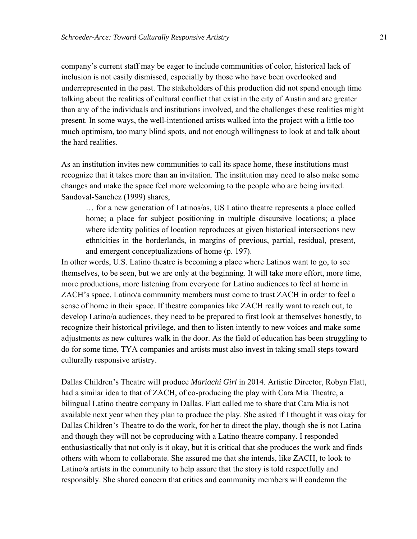company's current staff may be eager to include communities of color, historical lack of inclusion is not easily dismissed, especially by those who have been overlooked and underrepresented in the past. The stakeholders of this production did not spend enough time talking about the realities of cultural conflict that exist in the city of Austin and are greater than any of the individuals and institutions involved, and the challenges these realities might present. In some ways, the well-intentioned artists walked into the project with a little too much optimism, too many blind spots, and not enough willingness to look at and talk about the hard realities.

As an institution invites new communities to call its space home, these institutions must recognize that it takes more than an invitation. The institution may need to also make some changes and make the space feel more welcoming to the people who are being invited. Sandoval-Sanchez (1999) shares,

… for a new generation of Latinos/as, US Latino theatre represents a place called home; a place for subject positioning in multiple discursive locations; a place where identity politics of location reproduces at given historical intersections new ethnicities in the borderlands, in margins of previous, partial, residual, present, and emergent conceptualizations of home (p. 197).

In other words, U.S. Latino theatre is becoming a place where Latinos want to go, to see themselves, to be seen, but we are only at the beginning. It will take more effort, more time, more productions, more listening from everyone for Latino audiences to feel at home in ZACH's space. Latino/a community members must come to trust ZACH in order to feel a sense of home in their space. If theatre companies like ZACH really want to reach out, to develop Latino/a audiences, they need to be prepared to first look at themselves honestly, to recognize their historical privilege, and then to listen intently to new voices and make some adjustments as new cultures walk in the door. As the field of education has been struggling to do for some time, TYA companies and artists must also invest in taking small steps toward culturally responsive artistry.

Dallas Children's Theatre will produce *Mariachi Girl* in 2014. Artistic Director, Robyn Flatt, had a similar idea to that of ZACH, of co-producing the play with Cara Mia Theatre, a bilingual Latino theatre company in Dallas. Flatt called me to share that Cara Mia is not available next year when they plan to produce the play. She asked if I thought it was okay for Dallas Children's Theatre to do the work, for her to direct the play, though she is not Latina and though they will not be coproducing with a Latino theatre company. I responded enthusiastically that not only is it okay, but it is critical that she produces the work and finds others with whom to collaborate. She assured me that she intends, like ZACH, to look to Latino/a artists in the community to help assure that the story is told respectfully and responsibly. She shared concern that critics and community members will condemn the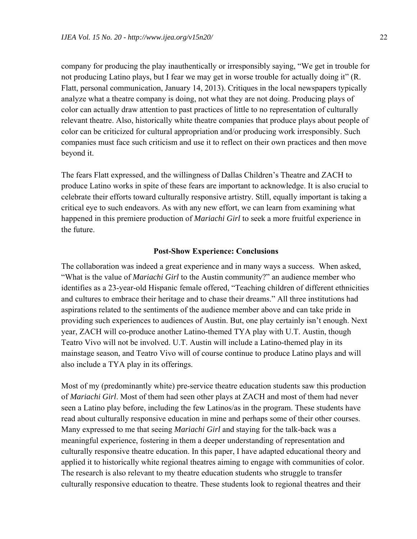company for producing the play inauthentically or irresponsibly saying, "We get in trouble for not producing Latino plays, but I fear we may get in worse trouble for actually doing it" (R. Flatt, personal communication, January 14, 2013). Critiques in the local newspapers typically analyze what a theatre company is doing, not what they are not doing. Producing plays of color can actually draw attention to past practices of little to no representation of culturally relevant theatre. Also, historically white theatre companies that produce plays about people of color can be criticized for cultural appropriation and/or producing work irresponsibly. Such companies must face such criticism and use it to reflect on their own practices and then move beyond it.

The fears Flatt expressed, and the willingness of Dallas Children's Theatre and ZACH to produce Latino works in spite of these fears are important to acknowledge. It is also crucial to celebrate their efforts toward culturally responsive artistry. Still, equally important is taking a critical eye to such endeavors. As with any new effort, we can learn from examining what happened in this premiere production of *Mariachi Girl* to seek a more fruitful experience in the future.

#### **Post-Show Experience: Conclusions**

The collaboration was indeed a great experience and in many ways a success. When asked, "What is the value of *Mariachi Girl* to the Austin community?" an audience member who identifies as a 23-year-old Hispanic female offered, "Teaching children of different ethnicities and cultures to embrace their heritage and to chase their dreams." All three institutions had aspirations related to the sentiments of the audience member above and can take pride in providing such experiences to audiences of Austin. But, one play certainly isn't enough. Next year, ZACH will co-produce another Latino-themed TYA play with U.T. Austin, though Teatro Vivo will not be involved. U.T. Austin will include a Latino-themed play in its mainstage season, and Teatro Vivo will of course continue to produce Latino plays and will also include a TYA play in its offerings.

Most of my (predominantly white) pre-service theatre education students saw this production of *Mariachi Girl*. Most of them had seen other plays at ZACH and most of them had never seen a Latino play before, including the few Latinos/as in the program. These students have read about culturally responsive education in mine and perhaps some of their other courses. Many expressed to me that seeing *Mariachi Girl* and staying for the talk-back was a meaningful experience, fostering in them a deeper understanding of representation and culturally responsive theatre education. In this paper, I have adapted educational theory and applied it to historically white regional theatres aiming to engage with communities of color. The research is also relevant to my theatre education students who struggle to transfer culturally responsive education to theatre. These students look to regional theatres and their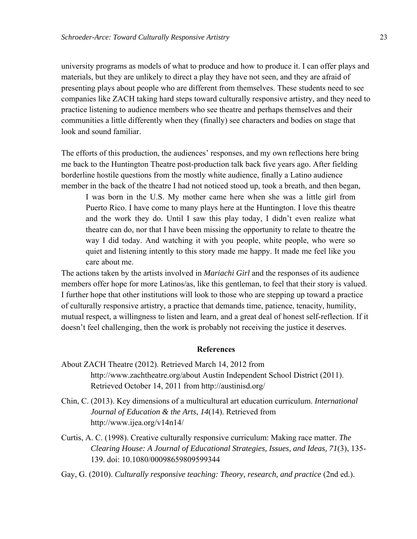university programs as models of what to produce and how to produce it. I can offer plays and materials, but they are unlikely to direct a play they have not seen, and they are afraid of presenting plays about people who are different from themselves. These students need to see companies like ZACH taking hard steps toward culturally responsive artistry, and they need to practice listening to audience members who see theatre and perhaps themselves and their communities a little differently when they (finally) see characters and bodies on stage that look and sound familiar.

The efforts of this production, the audiences' responses, and my own reflections here bring me back to the Huntington Theatre post-production talk back five years ago. After fielding borderline hostile questions from the mostly white audience, finally a Latino audience member in the back of the theatre I had not noticed stood up, took a breath, and then began,

I was born in the U.S. My mother came here when she was a little girl from Puerto Rico. I have come to many plays here at the Huntington. I love this theatre and the work they do. Until I saw this play today, I didn't even realize what theatre can do, nor that I have been missing the opportunity to relate to theatre the way I did today. And watching it with you people, white people, who were so quiet and listening intently to this story made me happy. It made me feel like you care about me.

The actions taken by the artists involved in *Mariachi Girl* and the responses of its audience members offer hope for more Latinos/as, like this gentleman, to feel that their story is valued. I further hope that other institutions will look to those who are stepping up toward a practice of culturally responsive artistry, a practice that demands time, patience, tenacity, humility, mutual respect, a willingness to listen and learn, and a great deal of honest self-reflection. If it doesn't feel challenging, then the work is probably not receiving the justice it deserves.

#### **References**

- About ZACH Theatre (2012). Retrieved March 14, 2012 from http://www.zachtheatre.org/about Austin Independent School District (2011). Retrieved October 14, 2011 from http://austinisd.org/
- Chin, C. (2013). Key dimensions of a multicultural art education curriculum. *International Journal of Education & the Arts*, *14*(14). Retrieved from http://www.ijea.org/v14n14/
- Curtis, A. C. (1998). Creative culturally responsive curriculum: Making race matter. *The Clearing House: A Journal of Educational Strategies, Issues, and Ideas, 71*(3), 135- 139. doi: 10.1080/00098659809599344
- Gay, G. (2010). *Culturally responsive teaching: Theory, research, and practice* (2nd ed.).